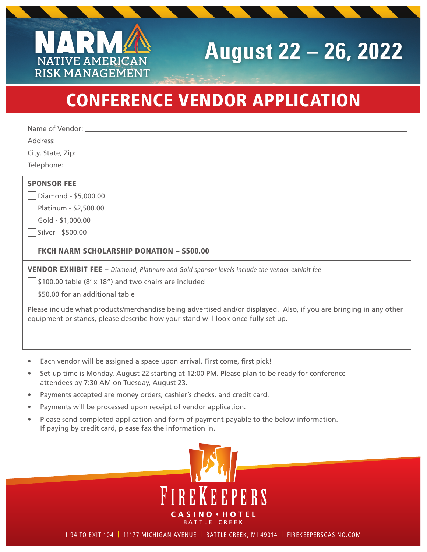## **August 22 – 26, 2022**

## CONFERENCE VENDOR APPLICATION

Name of Vendor:

**NATIVE AMERICAN RISK MANAGEMENT**

Address: \_\_

City, State, Zip:

Telephone: \_\_\_\_\_\_

## SPONSOR FEE

Diamond - \$5,000.00

Platinum - \$2,500.00

Gold - \$1,000.00

Silver - \$500.00

FKCH NARM SCHOLARSHIP DONATION – \$500.00

VENDOR EXHIBIT FEE – Diamond, Platinum and Gold sponsor levels include the vendor exhibit fee

\$100.00 table (8' x 18") and two chairs are included

\$50.00 for an additional table

Please include what products/merchandise being advertised and/or displayed. Also, if you are bringing in any other equipment or stands, please describe how your stand will look once fully set up.

- Each vendor will be assigned a space upon arrival. First come, first pick!
- Set-up time is Monday, August 22 starting at 12:00 PM. Please plan to be ready for conference attendees by 7:30 AM on Tuesday, August 23.
- Payments accepted are money orders, cashier's checks, and credit card.
- Payments will be processed upon receipt of vendor application.
- Please send completed application and form of payment payable to the below information. If paying by credit card, please fax the information in.